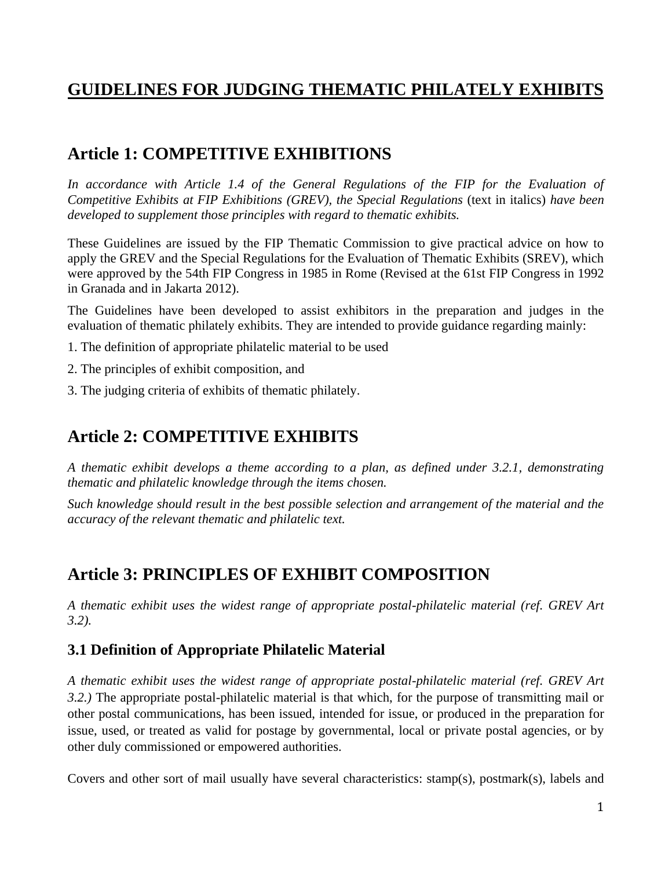# **GUIDELINES FOR JUDGING THEMATIC PHILATELY EXHIBITS**

# **Article 1: COMPETITIVE EXHIBITIONS**

In accordance with Article 1.4 of the General Regulations of the FIP for the Evaluation of *Competitive Exhibits at FIP Exhibitions (GREV), the Special Regulations* (text in italics) *have been developed to supplement those principles with regard to thematic exhibits.*

These Guidelines are issued by the FIP Thematic Commission to give practical advice on how to apply the GREV and the Special Regulations for the Evaluation of Thematic Exhibits (SREV), which were approved by the 54th FIP Congress in 1985 in Rome (Revised at the 61st FIP Congress in 1992 in Granada and in Jakarta 2012).

The Guidelines have been developed to assist exhibitors in the preparation and judges in the evaluation of thematic philately exhibits. They are intended to provide guidance regarding mainly:

- 1. The definition of appropriate philatelic material to be used
- 2. The principles of exhibit composition, and
- 3. The judging criteria of exhibits of thematic philately.

# **Article 2: COMPETITIVE EXHIBITS**

*A thematic exhibit develops a theme according to a plan, as defined under 3.2.1, demonstrating thematic and philatelic knowledge through the items chosen.*

*Such knowledge should result in the best possible selection and arrangement of the material and the accuracy of the relevant thematic and philatelic text.*

# **Article 3: PRINCIPLES OF EXHIBIT COMPOSITION**

*A thematic exhibit uses the widest range of appropriate postal-philatelic material (ref. GREV Art 3.2).* 

## **3.1 Definition of Appropriate Philatelic Material**

*A thematic exhibit uses the widest range of appropriate postal-philatelic material (ref. GREV Art 3.2.)* The appropriate postal-philatelic material is that which, for the purpose of transmitting mail or other postal communications, has been issued, intended for issue, or produced in the preparation for issue, used, or treated as valid for postage by governmental, local or private postal agencies, or by other duly commissioned or empowered authorities.

Covers and other sort of mail usually have several characteristics: stamp(s), postmark(s), labels and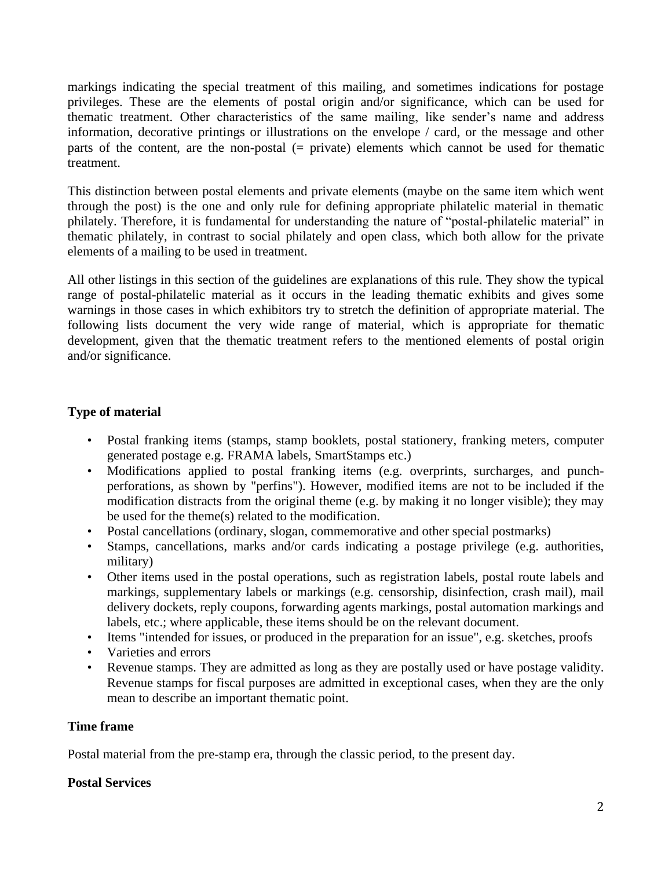markings indicating the special treatment of this mailing, and sometimes indications for postage privileges. These are the elements of postal origin and/or significance, which can be used for thematic treatment. Other characteristics of the same mailing, like sender's name and address information, decorative printings or illustrations on the envelope / card, or the message and other parts of the content, are the non-postal (= private) elements which cannot be used for thematic treatment.

This distinction between postal elements and private elements (maybe on the same item which went through the post) is the one and only rule for defining appropriate philatelic material in thematic philately. Therefore, it is fundamental for understanding the nature of "postal-philatelic material" in thematic philately, in contrast to social philately and open class, which both allow for the private elements of a mailing to be used in treatment.

All other listings in this section of the guidelines are explanations of this rule. They show the typical range of postal-philatelic material as it occurs in the leading thematic exhibits and gives some warnings in those cases in which exhibitors try to stretch the definition of appropriate material. The following lists document the very wide range of material, which is appropriate for thematic development, given that the thematic treatment refers to the mentioned elements of postal origin and/or significance.

## **Type of material**

- Postal franking items (stamps, stamp booklets, postal stationery, franking meters, computer generated postage e.g. FRAMA labels, SmartStamps etc.)
- Modifications applied to postal franking items (e.g. overprints, surcharges, and punchperforations, as shown by "perfins"). However, modified items are not to be included if the modification distracts from the original theme (e.g. by making it no longer visible); they may be used for the theme(s) related to the modification.
- Postal cancellations (ordinary, slogan, commemorative and other special postmarks)
- Stamps, cancellations, marks and/or cards indicating a postage privilege (e.g. authorities, military)
- Other items used in the postal operations, such as registration labels, postal route labels and markings, supplementary labels or markings (e.g. censorship, disinfection, crash mail), mail delivery dockets, reply coupons, forwarding agents markings, postal automation markings and labels, etc.; where applicable, these items should be on the relevant document.
- Items "intended for issues, or produced in the preparation for an issue", e.g. sketches, proofs
- Varieties and errors
- Revenue stamps. They are admitted as long as they are postally used or have postage validity. Revenue stamps for fiscal purposes are admitted in exceptional cases, when they are the only mean to describe an important thematic point.

## **Time frame**

Postal material from the pre-stamp era, through the classic period, to the present day.

#### **Postal Services**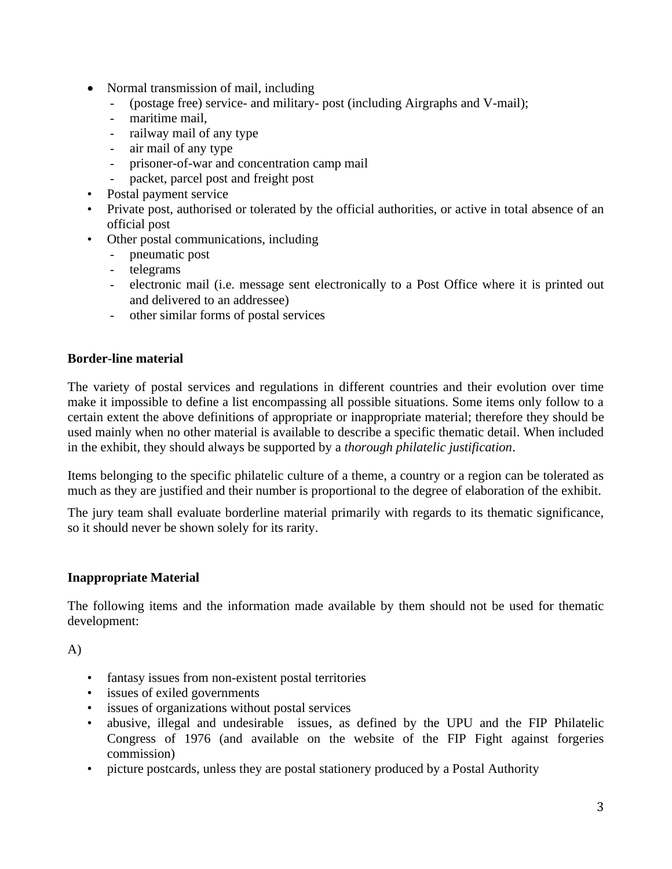- Normal transmission of mail, including
	- (postage free) service- and military- post (including Airgraphs and V-mail);
	- maritime mail.
	- railway mail of any type
	- air mail of any type
	- prisoner-of-war and concentration camp mail
	- packet, parcel post and freight post
- Postal payment service
- Private post, authorised or tolerated by the official authorities, or active in total absence of an official post
- Other postal communications, including
	- pneumatic post
	- telegrams
	- electronic mail (i.e. message sent electronically to a Post Office where it is printed out and delivered to an addressee)
	- other similar forms of postal services

### **Border-line material**

The variety of postal services and regulations in different countries and their evolution over time make it impossible to define a list encompassing all possible situations. Some items only follow to a certain extent the above definitions of appropriate or inappropriate material; therefore they should be used mainly when no other material is available to describe a specific thematic detail. When included in the exhibit, they should always be supported by a *thorough philatelic justification*.

Items belonging to the specific philatelic culture of a theme, a country or a region can be tolerated as much as they are justified and their number is proportional to the degree of elaboration of the exhibit.

The jury team shall evaluate borderline material primarily with regards to its thematic significance, so it should never be shown solely for its rarity.

#### **Inappropriate Material**

The following items and the information made available by them should not be used for thematic development:

A)

- fantasy issues from non-existent postal territories
- issues of exiled governments
- issues of organizations without postal services
- abusive, illegal and undesirable issues, as defined by the UPU and the FIP Philatelic Congress of 1976 (and available on the website of the FIP Fight against forgeries commission)
- picture postcards, unless they are postal stationery produced by a Postal Authority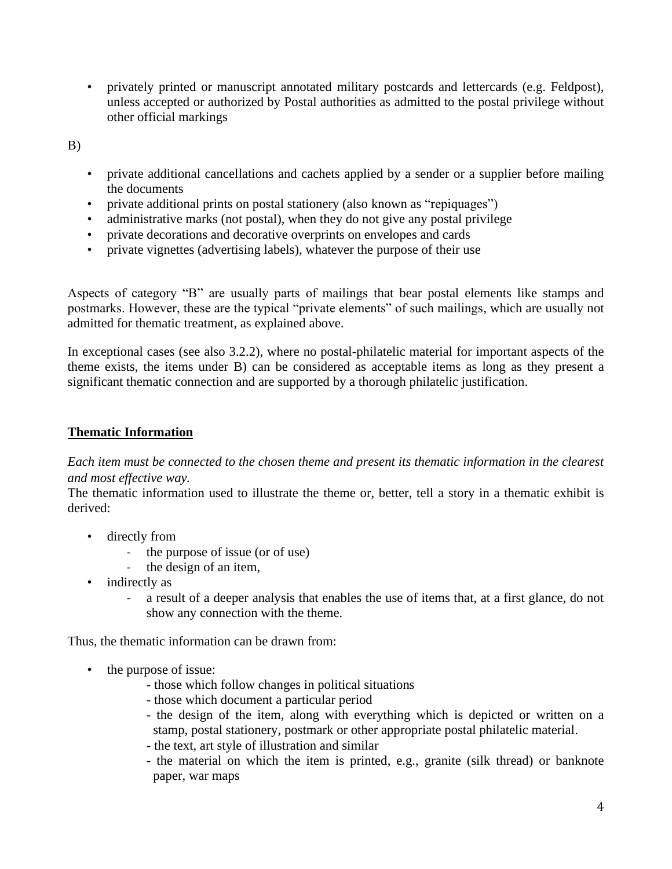• privately printed or manuscript annotated military postcards and lettercards (e.g. Feldpost), unless accepted or authorized by Postal authorities as admitted to the postal privilege without other official markings

B)

- private additional cancellations and cachets applied by a sender or a supplier before mailing the documents
- private additional prints on postal stationery (also known as "repiquages")
- administrative marks (not postal), when they do not give any postal privilege
- private decorations and decorative overprints on envelopes and cards
- private vignettes (advertising labels), whatever the purpose of their use

Aspects of category "B" are usually parts of mailings that bear postal elements like stamps and postmarks. However, these are the typical "private elements" of such mailings, which are usually not admitted for thematic treatment, as explained above.

In exceptional cases (see also 3.2.2), where no postal-philatelic material for important aspects of the theme exists, the items under B) can be considered as acceptable items as long as they present a significant thematic connection and are supported by a thorough philatelic justification.

### **Thematic Information**

*Each item must be connected to the chosen theme and present its thematic information in the clearest and most effective way.* 

The thematic information used to illustrate the theme or, better, tell a story in a thematic exhibit is derived:

- directly from
	- the purpose of issue (or of use)
	- the design of an item,
- indirectly as
	- a result of a deeper analysis that enables the use of items that, at a first glance, do not show any connection with the theme.

Thus, the thematic information can be drawn from:

- the purpose of issue:
	- those which follow changes in political situations
	- those which document a particular period
	- the design of the item, along with everything which is depicted or written on a stamp, postal stationery, postmark or other appropriate postal philatelic material.
	- the text, art style of illustration and similar
	- the material on which the item is printed, e.g., granite (silk thread) or banknote paper, war maps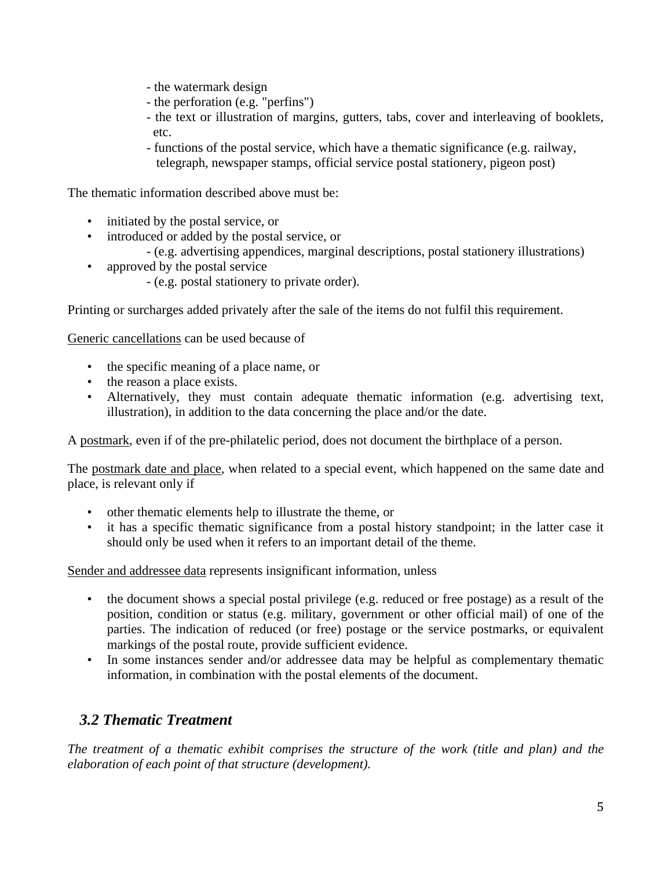- the watermark design
- the perforation (e.g. "perfins")
- the text or illustration of margins, gutters, tabs, cover and interleaving of booklets, etc.
- functions of the postal service, which have a thematic significance (e.g. railway, telegraph, newspaper stamps, official service postal stationery, pigeon post)

The thematic information described above must be:

- initiated by the postal service, or
- introduced or added by the postal service, or
	- (e.g. advertising appendices, marginal descriptions, postal stationery illustrations)
- approved by the postal service
	- (e.g. postal stationery to private order).

Printing or surcharges added privately after the sale of the items do not fulfil this requirement.

Generic cancellations can be used because of

- the specific meaning of a place name, or
- the reason a place exists.
- Alternatively, they must contain adequate thematic information (e.g. advertising text, illustration), in addition to the data concerning the place and/or the date.

A postmark, even if of the pre-philatelic period, does not document the birthplace of a person.

The postmark date and place, when related to a special event, which happened on the same date and place, is relevant only if

- other thematic elements help to illustrate the theme, or
- it has a specific thematic significance from a postal history standpoint; in the latter case it should only be used when it refers to an important detail of the theme.

Sender and addressee data represents insignificant information, unless

- the document shows a special postal privilege (e.g. reduced or free postage) as a result of the position, condition or status (e.g. military, government or other official mail) of one of the parties. The indication of reduced (or free) postage or the service postmarks, or equivalent markings of the postal route, provide sufficient evidence.
- In some instances sender and/or addressee data may be helpful as complementary thematic information, in combination with the postal elements of the document.

# *3.2 Thematic Treatment*

*The treatment of a thematic exhibit comprises the structure of the work (title and plan) and the elaboration of each point of that structure (development).*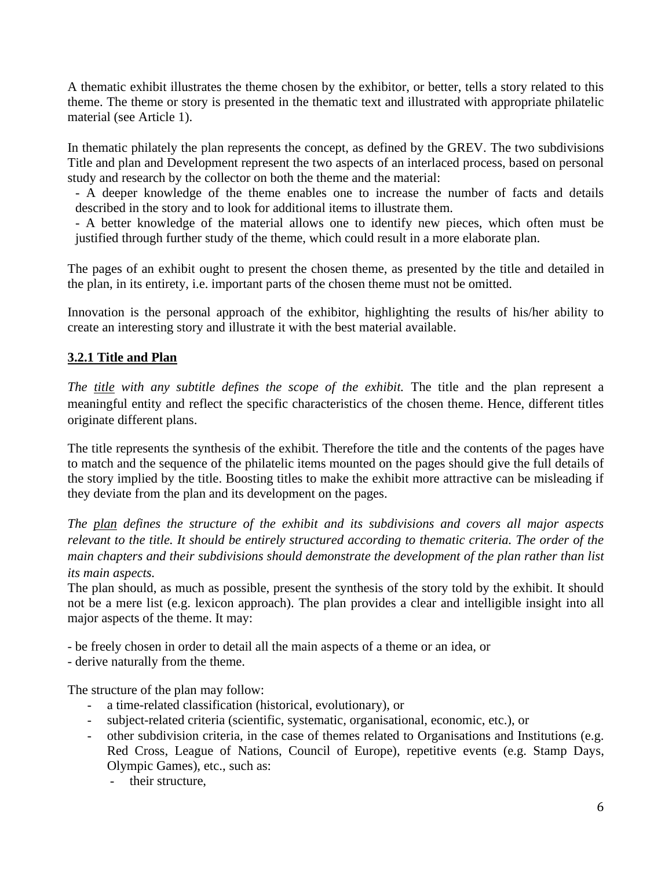A thematic exhibit illustrates the theme chosen by the exhibitor, or better, tells a story related to this theme. The theme or story is presented in the thematic text and illustrated with appropriate philatelic material (see Article 1).

In thematic philately the plan represents the concept, as defined by the GREV. The two subdivisions Title and plan and Development represent the two aspects of an interlaced process, based on personal study and research by the collector on both the theme and the material:

- A deeper knowledge of the theme enables one to increase the number of facts and details described in the story and to look for additional items to illustrate them.

- A better knowledge of the material allows one to identify new pieces, which often must be justified through further study of the theme, which could result in a more elaborate plan.

The pages of an exhibit ought to present the chosen theme, as presented by the title and detailed in the plan, in its entirety, i.e. important parts of the chosen theme must not be omitted.

Innovation is the personal approach of the exhibitor, highlighting the results of his/her ability to create an interesting story and illustrate it with the best material available.

## **3.2.1 Title and Plan**

*The title with any subtitle defines the scope of the exhibit.* The title and the plan represent a meaningful entity and reflect the specific characteristics of the chosen theme. Hence, different titles originate different plans.

The title represents the synthesis of the exhibit. Therefore the title and the contents of the pages have to match and the sequence of the philatelic items mounted on the pages should give the full details of the story implied by the title. Boosting titles to make the exhibit more attractive can be misleading if they deviate from the plan and its development on the pages.

*The plan defines the structure of the exhibit and its subdivisions and covers all major aspects relevant to the title. It should be entirely structured according to thematic criteria. The order of the main chapters and their subdivisions should demonstrate the development of the plan rather than list its main aspects.* 

The plan should, as much as possible, present the synthesis of the story told by the exhibit. It should not be a mere list (e.g. lexicon approach). The plan provides a clear and intelligible insight into all major aspects of the theme. It may:

- be freely chosen in order to detail all the main aspects of a theme or an idea, or

- derive naturally from the theme.

The structure of the plan may follow:

- a time-related classification (historical, evolutionary), or
- subject-related criteria (scientific, systematic, organisational, economic, etc.), or
- other subdivision criteria, in the case of themes related to Organisations and Institutions (e.g. Red Cross, League of Nations, Council of Europe), repetitive events (e.g. Stamp Days, Olympic Games), etc., such as:
	- their structure,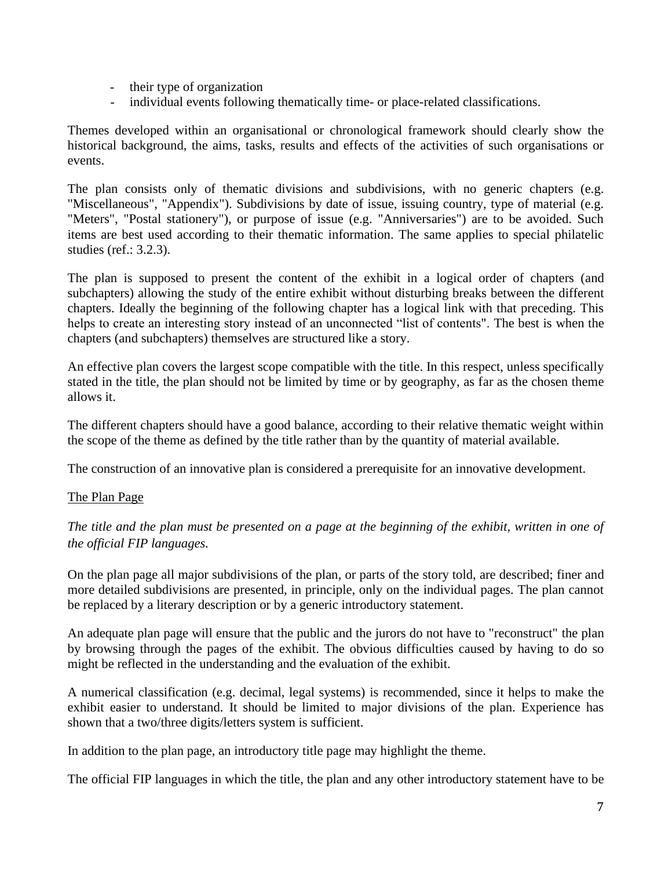- their type of organization
- individual events following thematically time- or place-related classifications.

Themes developed within an organisational or chronological framework should clearly show the historical background, the aims, tasks, results and effects of the activities of such organisations or events.

The plan consists only of thematic divisions and subdivisions, with no generic chapters (e.g. "Miscellaneous", "Appendix"). Subdivisions by date of issue, issuing country, type of material (e.g. "Meters", "Postal stationery"), or purpose of issue (e.g. "Anniversaries") are to be avoided. Such items are best used according to their thematic information. The same applies to special philatelic studies (ref.: 3.2.3).

The plan is supposed to present the content of the exhibit in a logical order of chapters (and subchapters) allowing the study of the entire exhibit without disturbing breaks between the different chapters. Ideally the beginning of the following chapter has a logical link with that preceding. This helps to create an interesting story instead of an unconnected "list of contents". The best is when the chapters (and subchapters) themselves are structured like a story.

An effective plan covers the largest scope compatible with the title. In this respect, unless specifically stated in the title, the plan should not be limited by time or by geography, as far as the chosen theme allows it.

The different chapters should have a good balance, according to their relative thematic weight within the scope of the theme as defined by the title rather than by the quantity of material available.

The construction of an innovative plan is considered a prerequisite for an innovative development.

## The Plan Page

*The title and the plan must be presented on a page at the beginning of the exhibit, written in one of the official FIP languages.* 

On the plan page all major subdivisions of the plan, or parts of the story told, are described; finer and more detailed subdivisions are presented, in principle, only on the individual pages. The plan cannot be replaced by a literary description or by a generic introductory statement.

An adequate plan page will ensure that the public and the jurors do not have to "reconstruct" the plan by browsing through the pages of the exhibit. The obvious difficulties caused by having to do so might be reflected in the understanding and the evaluation of the exhibit.

A numerical classification (e.g. decimal, legal systems) is recommended, since it helps to make the exhibit easier to understand. It should be limited to major divisions of the plan. Experience has shown that a two/three digits/letters system is sufficient.

In addition to the plan page, an introductory title page may highlight the theme.

The official FIP languages in which the title, the plan and any other introductory statement have to be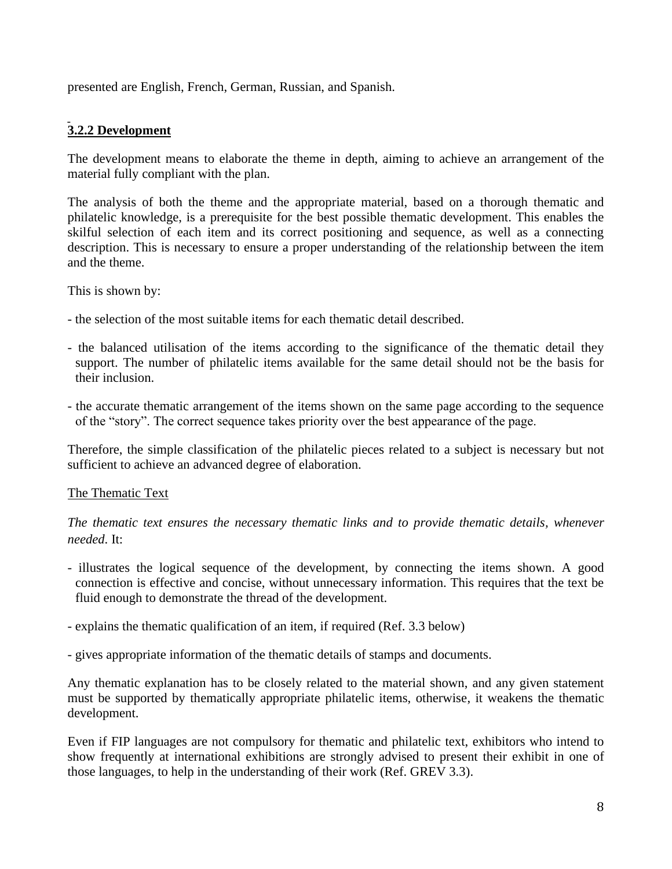presented are English, French, German, Russian, and Spanish.

## **3.2.2 Development**

The development means to elaborate the theme in depth, aiming to achieve an arrangement of the material fully compliant with the plan.

The analysis of both the theme and the appropriate material, based on a thorough thematic and philatelic knowledge, is a prerequisite for the best possible thematic development. This enables the skilful selection of each item and its correct positioning and sequence, as well as a connecting description. This is necessary to ensure a proper understanding of the relationship between the item and the theme.

This is shown by:

- the selection of the most suitable items for each thematic detail described.
- the balanced utilisation of the items according to the significance of the thematic detail they support. The number of philatelic items available for the same detail should not be the basis for their inclusion.
- the accurate thematic arrangement of the items shown on the same page according to the sequence of the "story". The correct sequence takes priority over the best appearance of the page.

Therefore, the simple classification of the philatelic pieces related to a subject is necessary but not sufficient to achieve an advanced degree of elaboration.

## The Thematic Text

*The thematic text ensures the necessary thematic links and to provide thematic details, whenever needed*. It:

- illustrates the logical sequence of the development, by connecting the items shown. A good connection is effective and concise, without unnecessary information. This requires that the text be fluid enough to demonstrate the thread of the development.
- explains the thematic qualification of an item, if required (Ref. 3.3 below)
- gives appropriate information of the thematic details of stamps and documents.

Any thematic explanation has to be closely related to the material shown, and any given statement must be supported by thematically appropriate philatelic items, otherwise, it weakens the thematic development.

Even if FIP languages are not compulsory for thematic and philatelic text, exhibitors who intend to show frequently at international exhibitions are strongly advised to present their exhibit in one of those languages, to help in the understanding of their work (Ref. GREV 3.3).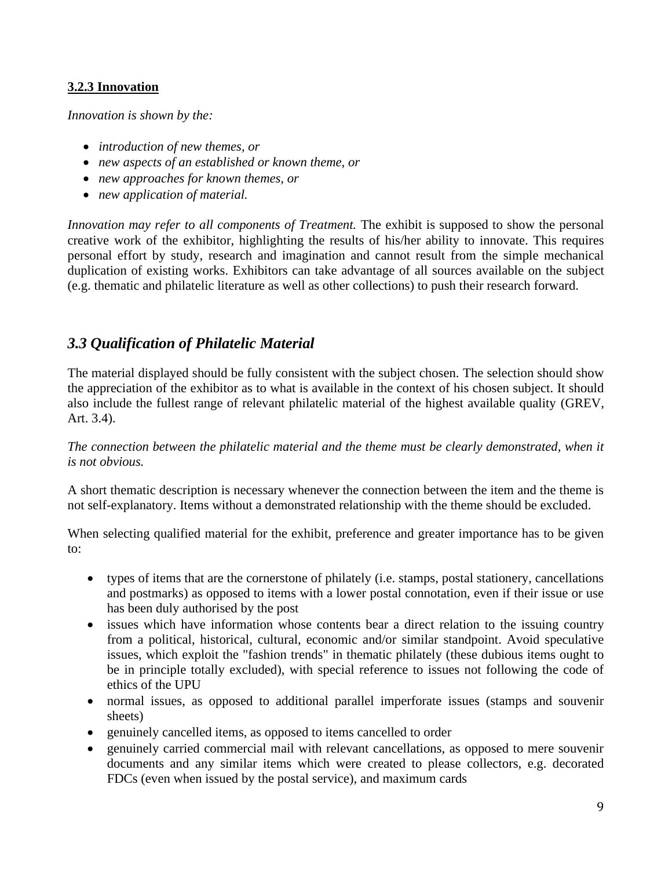## **3.2.3 Innovation**

*Innovation is shown by the:*

- *introduction of new themes, or*
- *new aspects of an established or known theme, or*
- *new approaches for known themes, or*
- *new application of material.*

*Innovation may refer to all components of Treatment.* The exhibit is supposed to show the personal creative work of the exhibitor, highlighting the results of his/her ability to innovate. This requires personal effort by study, research and imagination and cannot result from the simple mechanical duplication of existing works. Exhibitors can take advantage of all sources available on the subject (e.g. thematic and philatelic literature as well as other collections) to push their research forward.

## *3.3 Qualification of Philatelic Material*

The material displayed should be fully consistent with the subject chosen. The selection should show the appreciation of the exhibitor as to what is available in the context of his chosen subject. It should also include the fullest range of relevant philatelic material of the highest available quality (GREV, Art. 3.4).

*The connection between the philatelic material and the theme must be clearly demonstrated, when it is not obvious.*

A short thematic description is necessary whenever the connection between the item and the theme is not self-explanatory. Items without a demonstrated relationship with the theme should be excluded.

When selecting qualified material for the exhibit, preference and greater importance has to be given to:

- types of items that are the cornerstone of philately (i.e. stamps, postal stationery, cancellations and postmarks) as opposed to items with a lower postal connotation, even if their issue or use has been duly authorised by the post
- issues which have information whose contents bear a direct relation to the issuing country from a political, historical, cultural, economic and/or similar standpoint. Avoid speculative issues, which exploit the "fashion trends" in thematic philately (these dubious items ought to be in principle totally excluded), with special reference to issues not following the code of ethics of the UPU
- normal issues, as opposed to additional parallel imperforate issues (stamps and souvenir sheets)
- genuinely cancelled items, as opposed to items cancelled to order
- genuinely carried commercial mail with relevant cancellations, as opposed to mere souvenir documents and any similar items which were created to please collectors, e.g. decorated FDCs (even when issued by the postal service), and maximum cards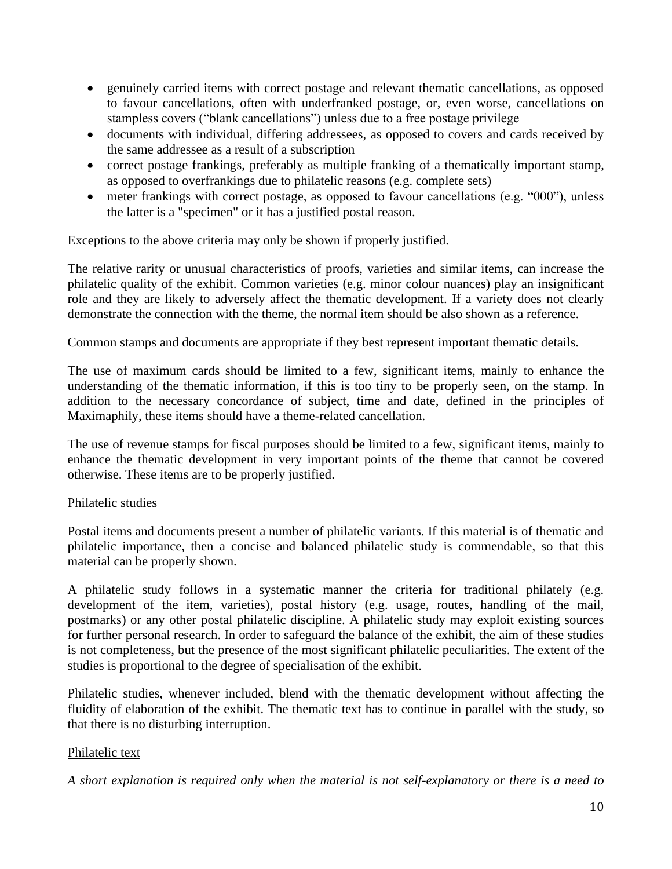- genuinely carried items with correct postage and relevant thematic cancellations, as opposed to favour cancellations, often with underfranked postage, or, even worse, cancellations on stampless covers ("blank cancellations") unless due to a free postage privilege
- documents with individual, differing addressees, as opposed to covers and cards received by the same addressee as a result of a subscription
- correct postage frankings, preferably as multiple franking of a thematically important stamp, as opposed to overfrankings due to philatelic reasons (e.g. complete sets)
- meter frankings with correct postage, as opposed to favour cancellations (e.g. "000"), unless the latter is a "specimen" or it has a justified postal reason.

Exceptions to the above criteria may only be shown if properly justified.

The relative rarity or unusual characteristics of proofs, varieties and similar items, can increase the philatelic quality of the exhibit. Common varieties (e.g. minor colour nuances) play an insignificant role and they are likely to adversely affect the thematic development. If a variety does not clearly demonstrate the connection with the theme, the normal item should be also shown as a reference.

Common stamps and documents are appropriate if they best represent important thematic details.

The use of maximum cards should be limited to a few, significant items, mainly to enhance the understanding of the thematic information, if this is too tiny to be properly seen, on the stamp. In addition to the necessary concordance of subject, time and date, defined in the principles of Maximaphily, these items should have a theme-related cancellation.

The use of revenue stamps for fiscal purposes should be limited to a few, significant items, mainly to enhance the thematic development in very important points of the theme that cannot be covered otherwise. These items are to be properly justified.

## Philatelic studies

Postal items and documents present a number of philatelic variants. If this material is of thematic and philatelic importance, then a concise and balanced philatelic study is commendable, so that this material can be properly shown.

A philatelic study follows in a systematic manner the criteria for traditional philately (e.g. development of the item, varieties), postal history (e.g. usage, routes, handling of the mail, postmarks) or any other postal philatelic discipline. A philatelic study may exploit existing sources for further personal research. In order to safeguard the balance of the exhibit, the aim of these studies is not completeness, but the presence of the most significant philatelic peculiarities. The extent of the studies is proportional to the degree of specialisation of the exhibit.

Philatelic studies, whenever included, blend with the thematic development without affecting the fluidity of elaboration of the exhibit. The thematic text has to continue in parallel with the study, so that there is no disturbing interruption.

## Philatelic text

*A short explanation is required only when the material is not self-explanatory or there is a need to*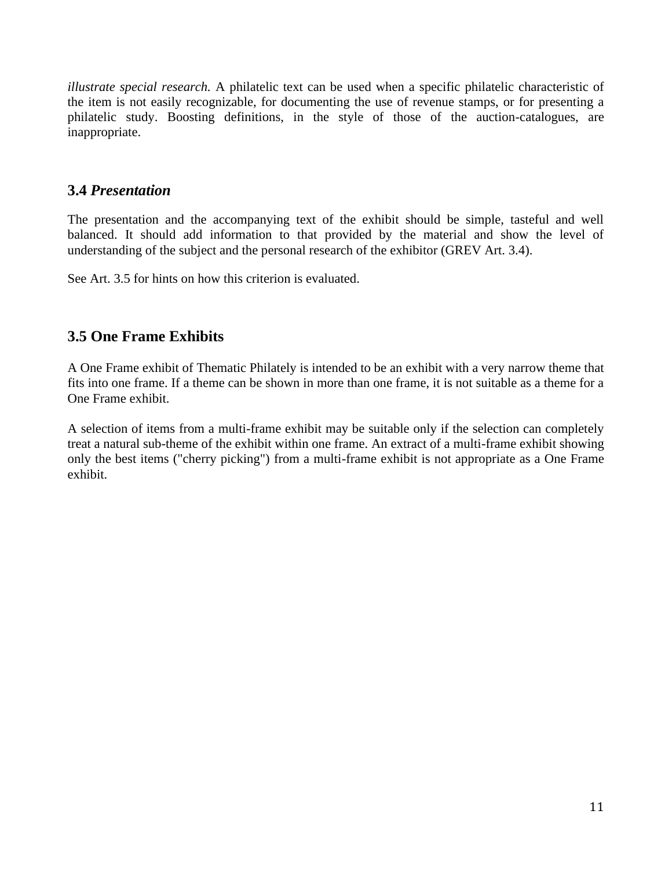*illustrate special research.* A philatelic text can be used when a specific philatelic characteristic of the item is not easily recognizable, for documenting the use of revenue stamps, or for presenting a philatelic study. Boosting definitions, in the style of those of the auction-catalogues, are inappropriate.

## **3.4** *Presentation*

The presentation and the accompanying text of the exhibit should be simple, tasteful and well balanced. It should add information to that provided by the material and show the level of understanding of the subject and the personal research of the exhibitor (GREV Art. 3.4).

See Art. 3.5 for hints on how this criterion is evaluated.

## **3.5 One Frame Exhibits**

A One Frame exhibit of Thematic Philately is intended to be an exhibit with a very narrow theme that fits into one frame. If a theme can be shown in more than one frame, it is not suitable as a theme for a One Frame exhibit.

A selection of items from a multi-frame exhibit may be suitable only if the selection can completely treat a natural sub-theme of the exhibit within one frame. An extract of a multi-frame exhibit showing only the best items ("cherry picking") from a multi-frame exhibit is not appropriate as a One Frame exhibit.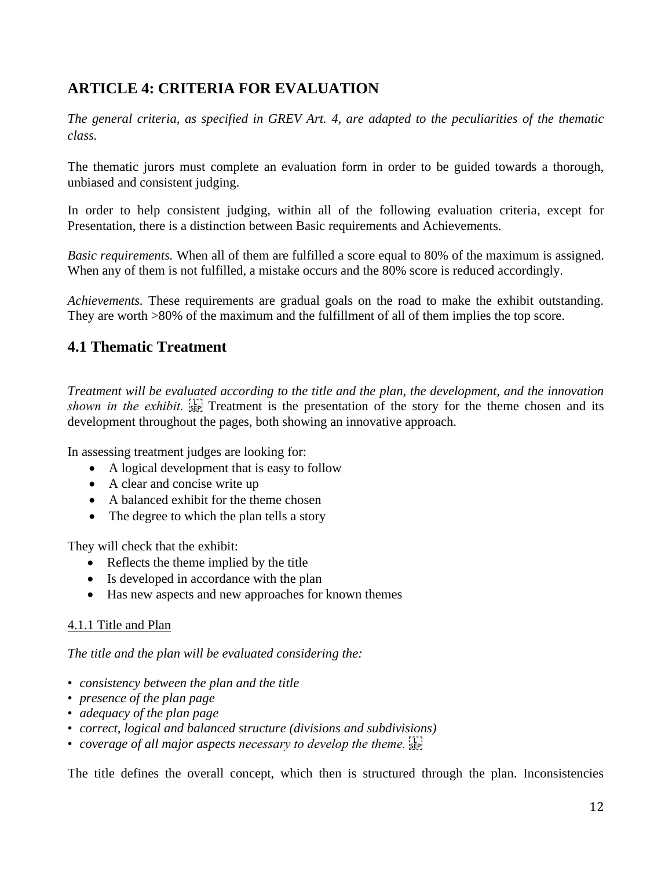# **ARTICLE 4: CRITERIA FOR EVALUATION**

*The general criteria, as specified in GREV Art. 4, are adapted to the peculiarities of the thematic class.* 

The thematic jurors must complete an evaluation form in order to be guided towards a thorough, unbiased and consistent judging.

In order to help consistent judging, within all of the following evaluation criteria, except for Presentation, there is a distinction between Basic requirements and Achievements.

*Basic requirements.* When all of them are fulfilled a score equal to 80% of the maximum is assigned. When any of them is not fulfilled, a mistake occurs and the 80% score is reduced accordingly.

*Achievements.* These requirements are gradual goals on the road to make the exhibit outstanding. They are worth >80% of the maximum and the fulfillment of all of them implies the top score.

## **4.1 Thematic Treatment**

*Treatment will be evaluated according to the title and the plan, the development, and the innovation shown in the exhibit.*  $\frac{1}{25F}$  Treatment is the presentation of the story for the theme chosen and its development throughout the pages, both showing an innovative approach.

In assessing treatment judges are looking for:

- A logical development that is easy to follow
- A clear and concise write up
- A balanced exhibit for the theme chosen
- The degree to which the plan tells a story

They will check that the exhibit:

- Reflects the theme implied by the title
- Is developed in accordance with the plan
- Has new aspects and new approaches for known themes

## 4.1.1 Title and Plan

*The title and the plan will be evaluated considering the:* 

- *consistency between the plan and the title*
- *presence of the plan page*
- *adequacy of the plan page*
- *correct, logical and balanced structure (divisions and subdivisions)*
- *coverage of all major aspects necessary to develop the theme.*

The title defines the overall concept, which then is structured through the plan. Inconsistencies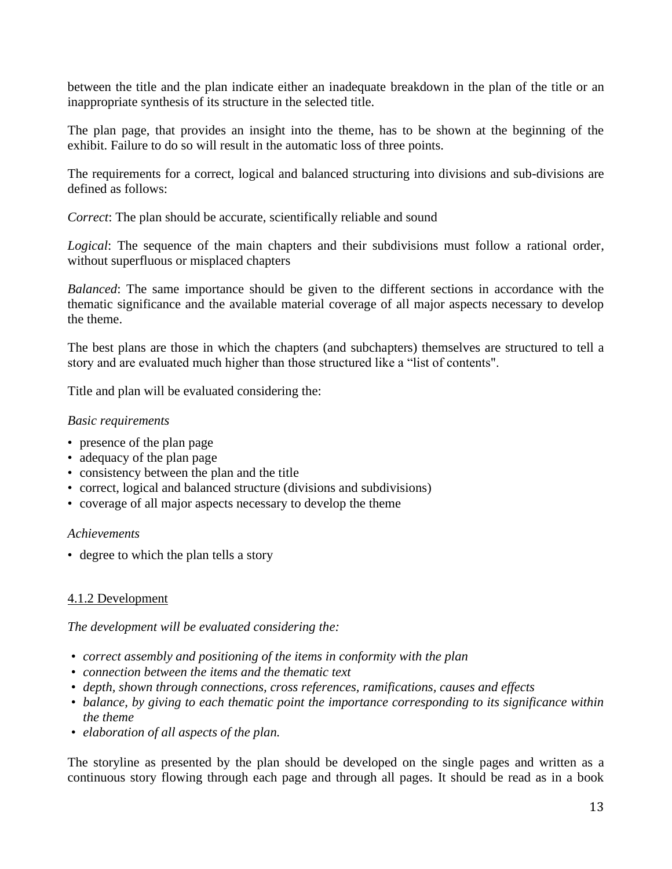between the title and the plan indicate either an inadequate breakdown in the plan of the title or an inappropriate synthesis of its structure in the selected title.

The plan page, that provides an insight into the theme, has to be shown at the beginning of the exhibit. Failure to do so will result in the automatic loss of three points.

The requirements for a correct, logical and balanced structuring into divisions and sub-divisions are defined as follows:

*Correct*: The plan should be accurate, scientifically reliable and sound

*Logical*: The sequence of the main chapters and their subdivisions must follow a rational order, without superfluous or misplaced chapters

*Balanced*: The same importance should be given to the different sections in accordance with the thematic significance and the available material coverage of all major aspects necessary to develop the theme.

The best plans are those in which the chapters (and subchapters) themselves are structured to tell a story and are evaluated much higher than those structured like a "list of contents".

Title and plan will be evaluated considering the:

#### *Basic requirements*

- presence of the plan page
- adequacy of the plan page
- consistency between the plan and the title
- correct, logical and balanced structure (divisions and subdivisions)
- coverage of all major aspects necessary to develop the theme

#### *Achievements*

• degree to which the plan tells a story

## 4.1.2 Development

*The development will be evaluated considering the:* 

- *correct assembly and positioning of the items in conformity with the plan*
- *connection between the items and the thematic text*
- *depth, shown through connections, cross references, ramifications, causes and effects*
- *balance, by giving to each thematic point the importance corresponding to its significance within the theme*
- *elaboration of all aspects of the plan.*

The storyline as presented by the plan should be developed on the single pages and written as a continuous story flowing through each page and through all pages. It should be read as in a book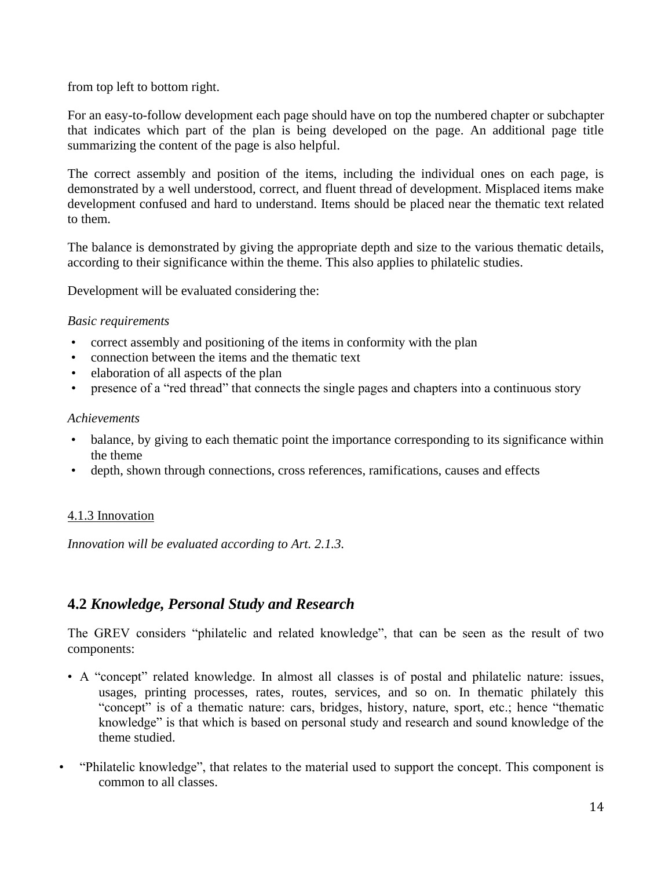from top left to bottom right.

For an easy-to-follow development each page should have on top the numbered chapter or subchapter that indicates which part of the plan is being developed on the page. An additional page title summarizing the content of the page is also helpful.

The correct assembly and position of the items, including the individual ones on each page, is demonstrated by a well understood, correct, and fluent thread of development. Misplaced items make development confused and hard to understand. Items should be placed near the thematic text related to them.

The balance is demonstrated by giving the appropriate depth and size to the various thematic details, according to their significance within the theme. This also applies to philatelic studies.

Development will be evaluated considering the:

### *Basic requirements*

- correct assembly and positioning of the items in conformity with the plan
- connection between the items and the thematic text
- elaboration of all aspects of the plan
- presence of a "red thread" that connects the single pages and chapters into a continuous story

#### *Achievements*

- balance, by giving to each thematic point the importance corresponding to its significance within the theme
- depth, shown through connections, cross references, ramifications, causes and effects

## 4.1.3 Innovation

*Innovation will be evaluated according to Art. 2.1.3.*

## **4.2** *Knowledge, Personal Study and Research*

The GREV considers "philatelic and related knowledge", that can be seen as the result of two components:

- A "concept" related knowledge. In almost all classes is of postal and philatelic nature: issues, usages, printing processes, rates, routes, services, and so on. In thematic philately this "concept" is of a thematic nature: cars, bridges, history, nature, sport, etc.; hence "thematic knowledge" is that which is based on personal study and research and sound knowledge of the theme studied.
- "Philatelic knowledge", that relates to the material used to support the concept. This component is common to all classes.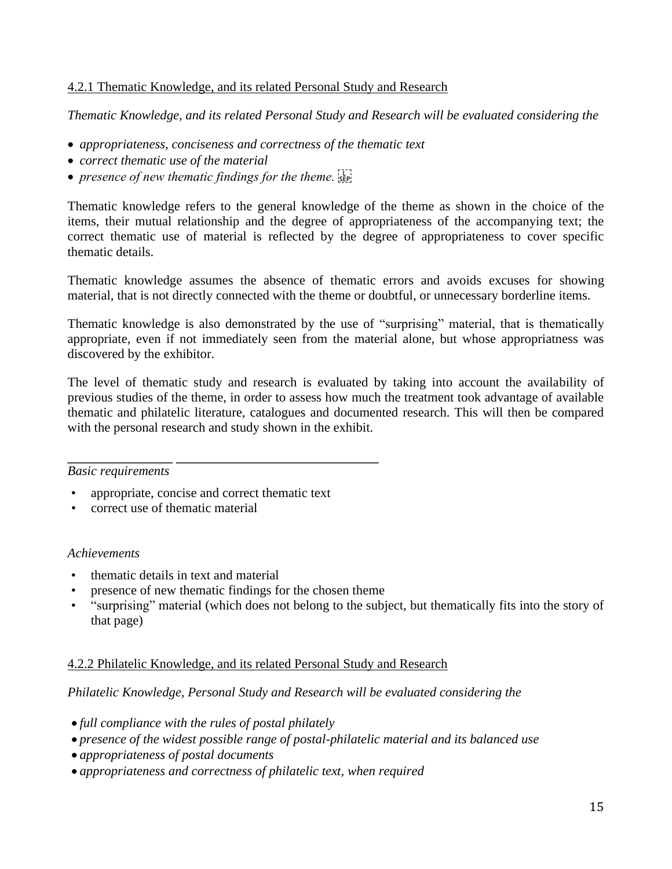## 4.2.1 Thematic Knowledge, and its related Personal Study and Research

*Thematic Knowledge, and its related Personal Study and Research will be evaluated considering the*

- *appropriateness, conciseness and correctness of the thematic text*
- *correct thematic use of the material*
- *presence of new thematic findings for the theme.*  $\frac{1}{2}$

Thematic knowledge refers to the general knowledge of the theme as shown in the choice of the items, their mutual relationship and the degree of appropriateness of the accompanying text; the correct thematic use of material is reflected by the degree of appropriateness to cover specific thematic details.

Thematic knowledge assumes the absence of thematic errors and avoids excuses for showing material, that is not directly connected with the theme or doubtful, or unnecessary borderline items.

Thematic knowledge is also demonstrated by the use of "surprising" material, that is thematically appropriate, even if not immediately seen from the material alone, but whose appropriatness was discovered by the exhibitor.

The level of thematic study and research is evaluated by taking into account the availability of previous studies of the theme, in order to assess how much the treatment took advantage of available thematic and philatelic literature, catalogues and documented research. This will then be compared with the personal research and study shown in the exhibit.

#### *Basic requirements*

- appropriate, concise and correct thematic text
- correct use of thematic material

#### *Achievements*

- thematic details in text and material
- presence of new thematic findings for the chosen theme
- "surprising" material (which does not belong to the subject, but thematically fits into the story of that page)

## 4.2.2 Philatelic Knowledge, and its related Personal Study and Research

*Philatelic Knowledge, Personal Study and Research will be evaluated considering the* 

- *full compliance with the rules of postal philately*
- *presence of the widest possible range of postal-philatelic material and its balanced use*
- *appropriateness of postal documents*
- *appropriateness and correctness of philatelic text, when required*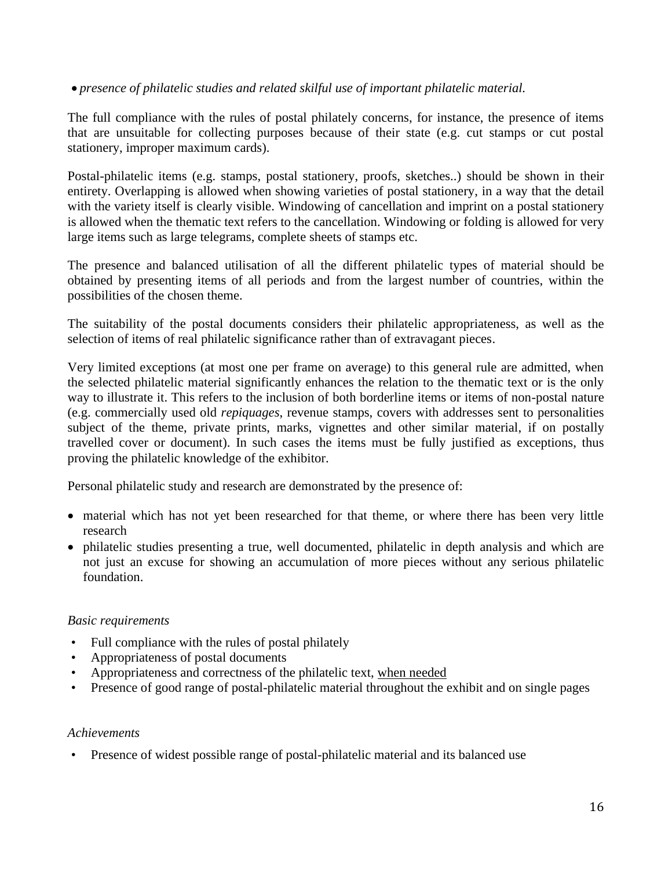## • *presence of philatelic studies and related skilful use of important philatelic material.*

The full compliance with the rules of postal philately concerns, for instance, the presence of items that are unsuitable for collecting purposes because of their state (e.g. cut stamps or cut postal stationery, improper maximum cards).

Postal-philatelic items (e.g. stamps, postal stationery, proofs, sketches..) should be shown in their entirety. Overlapping is allowed when showing varieties of postal stationery, in a way that the detail with the variety itself is clearly visible. Windowing of cancellation and imprint on a postal stationery is allowed when the thematic text refers to the cancellation. Windowing or folding is allowed for very large items such as large telegrams, complete sheets of stamps etc.

The presence and balanced utilisation of all the different philatelic types of material should be obtained by presenting items of all periods and from the largest number of countries, within the possibilities of the chosen theme.

The suitability of the postal documents considers their philatelic appropriateness, as well as the selection of items of real philatelic significance rather than of extravagant pieces.

Very limited exceptions (at most one per frame on average) to this general rule are admitted, when the selected philatelic material significantly enhances the relation to the thematic text or is the only way to illustrate it. This refers to the inclusion of both borderline items or items of non-postal nature (e.g. commercially used old *repiquages*, revenue stamps, covers with addresses sent to personalities subject of the theme, private prints, marks, vignettes and other similar material, if on postally travelled cover or document). In such cases the items must be fully justified as exceptions, thus proving the philatelic knowledge of the exhibitor.

Personal philatelic study and research are demonstrated by the presence of:

- material which has not yet been researched for that theme, or where there has been very little research
- philatelic studies presenting a true, well documented, philatelic in depth analysis and which are not just an excuse for showing an accumulation of more pieces without any serious philatelic foundation.

## *Basic requirements*

- Full compliance with the rules of postal philately
- Appropriateness of postal documents
- Appropriateness and correctness of the philatelic text, when needed
- Presence of good range of postal-philatelic material throughout the exhibit and on single pages

#### *Achievements*

• Presence of widest possible range of postal-philatelic material and its balanced use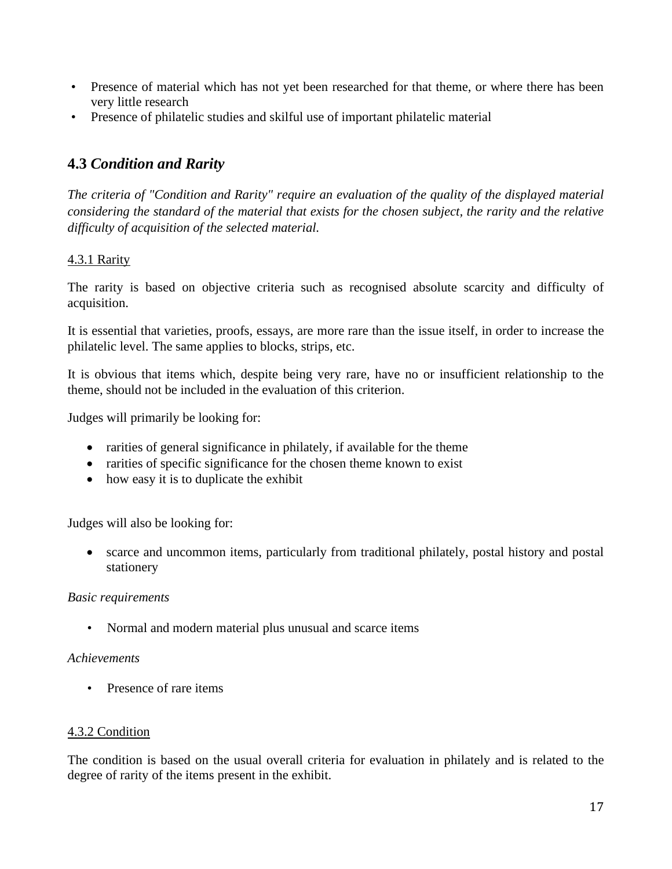- Presence of material which has not yet been researched for that theme, or where there has been very little research
- Presence of philatelic studies and skilful use of important philatelic material

## **4.3** *Condition and Rarity*

*The criteria of "Condition and Rarity" require an evaluation of the quality of the displayed material considering the standard of the material that exists for the chosen subject, the rarity and the relative difficulty of acquisition of the selected material.* 

## 4.3.1 Rarity

The rarity is based on objective criteria such as recognised absolute scarcity and difficulty of acquisition.

It is essential that varieties, proofs, essays, are more rare than the issue itself, in order to increase the philatelic level. The same applies to blocks, strips, etc.

It is obvious that items which, despite being very rare, have no or insufficient relationship to the theme, should not be included in the evaluation of this criterion.

Judges will primarily be looking for:

- rarities of general significance in philately, if available for the theme
- rarities of specific significance for the chosen theme known to exist
- how easy it is to duplicate the exhibit

Judges will also be looking for:

• scarce and uncommon items, particularly from traditional philately, postal history and postal stationery

## *Basic requirements*

• Normal and modern material plus unusual and scarce items

## *Achievements*

• Presence of rare items

## 4.3.2 Condition

The condition is based on the usual overall criteria for evaluation in philately and is related to the degree of rarity of the items present in the exhibit.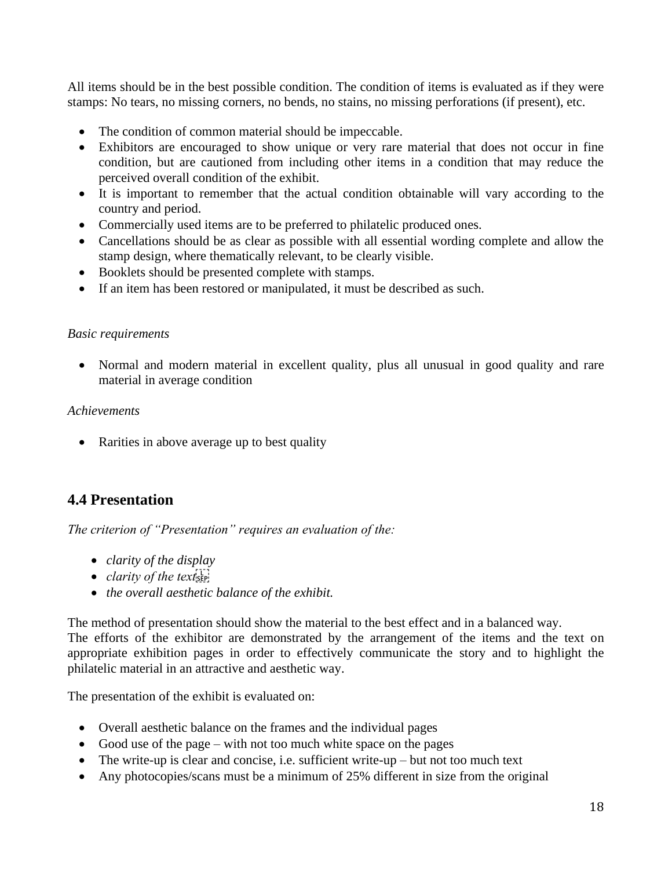All items should be in the best possible condition. The condition of items is evaluated as if they were stamps: No tears, no missing corners, no bends, no stains, no missing perforations (if present), etc.

- The condition of common material should be impeccable.
- Exhibitors are encouraged to show unique or very rare material that does not occur in fine condition, but are cautioned from including other items in a condition that may reduce the perceived overall condition of the exhibit.
- It is important to remember that the actual condition obtainable will vary according to the country and period.
- Commercially used items are to be preferred to philatelic produced ones.
- Cancellations should be as clear as possible with all essential wording complete and allow the stamp design, where thematically relevant, to be clearly visible.
- Booklets should be presented complete with stamps.
- If an item has been restored or manipulated, it must be described as such.

#### *Basic requirements*

• Normal and modern material in excellent quality, plus all unusual in good quality and rare material in average condition

#### *Achievements*

• Rarities in above average up to best quality

## **4.4 Presentation**

*The criterion of "Presentation" requires an evaluation of the:*

- *clarity of the display*
- *clarity of the text*<sup>1</sup>
- *the overall aesthetic balance of the exhibit.*

The method of presentation should show the material to the best effect and in a balanced way. The efforts of the exhibitor are demonstrated by the arrangement of the items and the text on appropriate exhibition pages in order to effectively communicate the story and to highlight the philatelic material in an attractive and aesthetic way.

The presentation of the exhibit is evaluated on:

- Overall aesthetic balance on the frames and the individual pages
- Good use of the page with not too much white space on the pages
- The write-up is clear and concise, i.e. sufficient write-up but not too much text
- Any photocopies/scans must be a minimum of 25% different in size from the original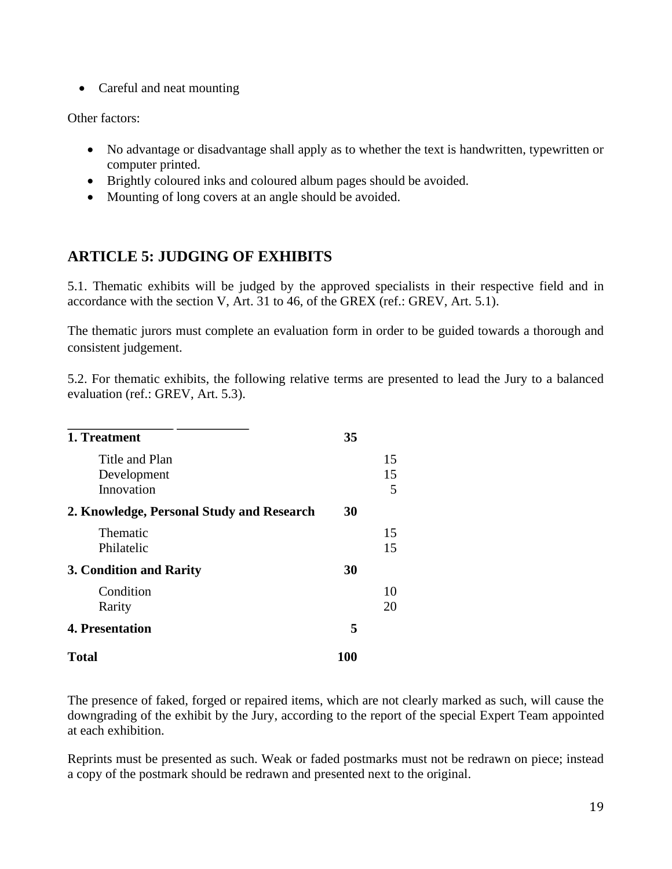• Careful and neat mounting

Other factors:

- No advantage or disadvantage shall apply as to whether the text is handwritten, typewritten or computer printed.
- Brightly coloured inks and coloured album pages should be avoided.
- Mounting of long covers at an angle should be avoided.

## **ARTICLE 5: JUDGING OF EXHIBITS**

5.1. Thematic exhibits will be judged by the approved specialists in their respective field and in accordance with the section V, Art. 31 to 46, of the GREX (ref.: GREV, Art. 5.1).

The thematic jurors must complete an evaluation form in order to be guided towards a thorough and consistent judgement.

5.2. For thematic exhibits, the following relative terms are presented to lead the Jury to a balanced evaluation (ref.: GREV, Art. 5.3).

| 1. Treatment                                | 35  |               |
|---------------------------------------------|-----|---------------|
| Title and Plan<br>Development<br>Innovation |     | 15<br>15<br>5 |
| 2. Knowledge, Personal Study and Research   | 30  |               |
| Thematic<br>Philatelic                      |     | 15<br>15      |
| 3. Condition and Rarity                     | 30  |               |
| Condition<br>Rarity                         |     | 10<br>20      |
| <b>4. Presentation</b>                      | 5   |               |
| <b>Total</b>                                | 100 |               |

The presence of faked, forged or repaired items, which are not clearly marked as such, will cause the downgrading of the exhibit by the Jury, according to the report of the special Expert Team appointed at each exhibition.

Reprints must be presented as such. Weak or faded postmarks must not be redrawn on piece; instead a copy of the postmark should be redrawn and presented next to the original.